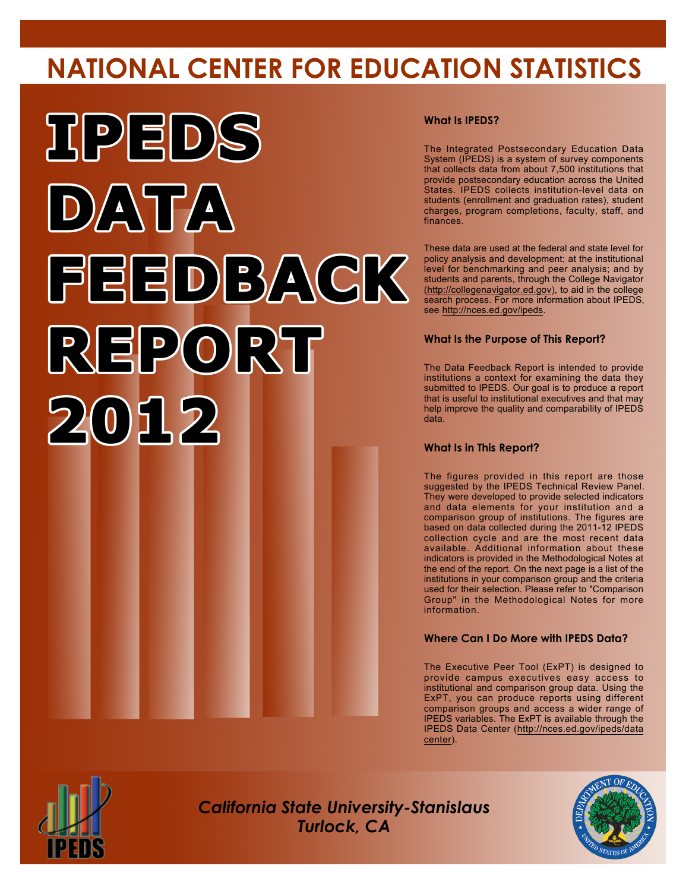# **NATIONAL CENTER FOR EDUCATION STATISTICS**



#### **What Is IPEDS?**

The Integrated Postsecondary Education Data System (IPEDS) is a system of survey components that collects data from about 7,500 institutions that provide postsecondary education across the United States. IPEDS collects institution-level data on students (enrollment and graduation rates), student charges, program completions, faculty, staff, and finances.

These data are used at the federal and state level for policy analysis and development; at the institutional level for benchmarking and peer analysis; and by students and parents, through the College Navigator (<http://collegenavigator.ed.gov>), to aid in the college search process. For more information about IPEDS, see [http://nces.ed.gov/ipeds.](http://nces.ed.gov/ipeds)

#### **What Is the Purpose of This Report?**

The Data Feedback Report is intended to provide institutions a context for examining the data they submitted to IPEDS. Our goal is to produce a report that is useful to institutional executives and that may help improve the quality and comparability of IPEDS data.

#### **What Is in This Report?**

The figures provided in this report are those suggested by the IPEDS Technical Review Panel. They were developed to provide selected indicators and data elements for your institution and a comparison group of institutions. The figures are based on data collected during the 2011-12 IPEDS collection cycle and are the most recent data available. Additional information about these indicators is provided in the Methodological Notes at the end of the report. On the next page is a list of the institutions in your comparison group and the criteria used for their selection. Please refer to "Comparison Group" in the Methodological Notes for more information.

#### **Where Can I Do More with IPEDS Data?**

The Executive Peer Tool (ExPT) is designed to provide campus executives easy access to institutional and comparison group data. Using the ExPT, you can produce reports using different comparison groups and access a wider range of IPEDS variables. The ExPT is available through the IPEDS Data Center ([http://nces.ed.gov/ipeds/data](http://nces.ed.gov/ipeds/datacenter) [center](http://nces.ed.gov/ipeds/datacenter)).



Image description. Cover Image End of image description.

*California State University-Stanislaus Turlock, CA*

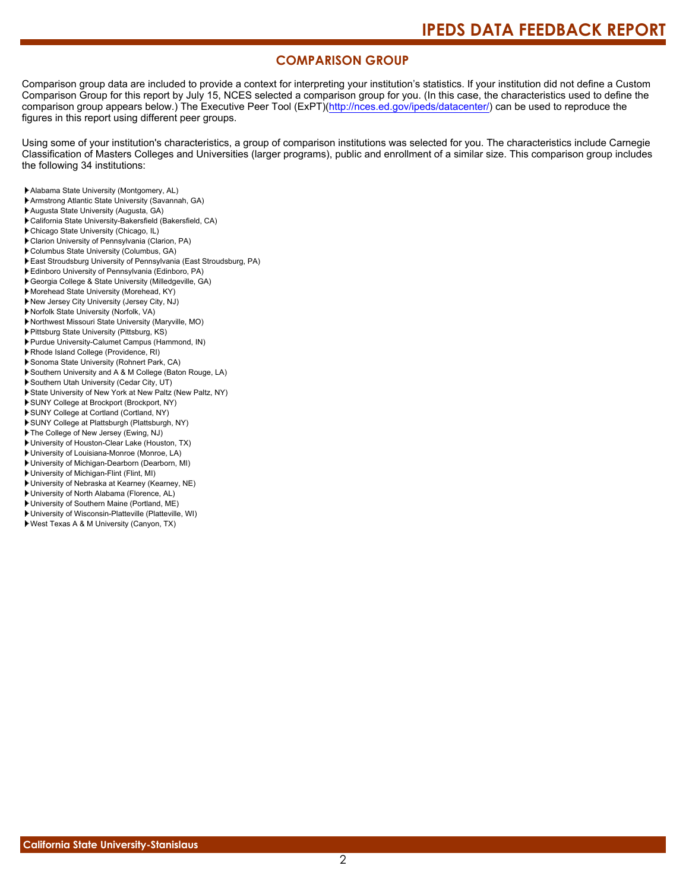#### **COMPARISON GROUP**

Comparison group data are included to provide a context for interpreting your institution's statistics. If your institution did not define a Custom Comparison Group for this report by July 15, NCES selected a comparison group for you. (In this case, the characteristics used to define the comparison group appears below.) The Executive Peer Tool (ExPT)[\(http://nces.ed.gov/ipeds/datacenter/\)](http://nces.ed.gov/ipeds/datacenter/) can be used to reproduce the figures in this report using different peer groups.

Using some of your institution's characteristics, a group of comparison institutions was selected for you. The characteristics include Carnegie Classification of Masters Colleges and Universities (larger programs), public and enrollment of a similar size. This comparison group includes the following 34 institutions:

- Alabama State University (Montgomery, AL)
- Armstrong Atlantic State University (Savannah, GA)
- Augusta State University (Augusta, GA)
- California State University-Bakersfield (Bakersfield, CA)
- Chicago State University (Chicago, IL)
- Clarion University of Pennsylvania (Clarion, PA)
- Columbus State University (Columbus, GA)
- East Stroudsburg University of Pennsylvania (East Stroudsburg, PA)
- Edinboro University of Pennsylvania (Edinboro, PA)
- Georgia College & State University (Milledgeville, GA)
- Morehead State University (Morehead, KY)
- New Jersey City University (Jersey City, NJ) Norfolk State University (Norfolk, VA)
- 
- Northwest Missouri State University (Maryville, MO)
- Pittsburg State University (Pittsburg, KS)
- Purdue University-Calumet Campus (Hammond, IN)
- Rhode Island College (Providence, RI)
- Sonoma State University (Rohnert Park, CA)
- Southern University and A & M College (Baton Rouge, LA)
- Southern Utah University (Cedar City, UT)
- State University of New York at New Paltz (New Paltz, NY)
- SUNY College at Brockport (Brockport, NY)
- SUNY College at Cortland (Cortland, NY)
- SUNY College at Plattsburgh (Plattsburgh, NY) The College of New Jersey (Ewing, NJ)
- 
- University of Houston-Clear Lake (Houston, TX) University of Louisiana-Monroe (Monroe, LA)
- University of Michigan-Dearborn (Dearborn, MI)
- University of Michigan-Flint (Flint, MI)
- University of Nebraska at Kearney (Kearney, NE)
- University of North Alabama (Florence, AL)
- University of Southern Maine (Portland, ME)
- University of Wisconsin-Platteville (Platteville, WI)
- West Texas A & M University (Canyon, TX)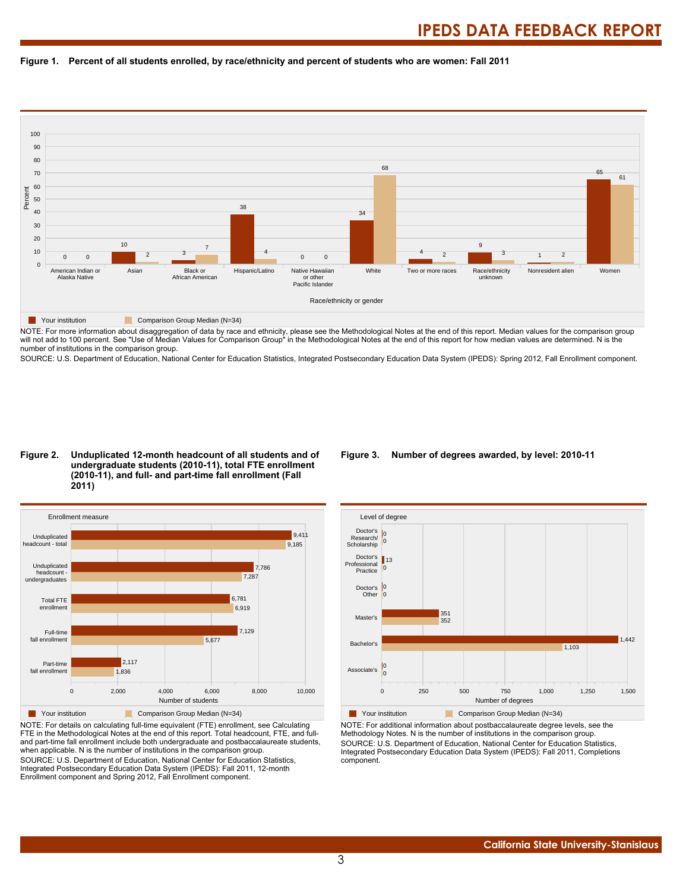



NOTE: For more information about disaggregation of data by race and ethnicity, please see the Methodological Notes at the end of this report. Median values for the comparison group will not add to 100 percent. See "Use of Median Values for Comparison Group" in the Methodological Notes at the end of this report for how median values are determined. N is the number of institutions in the comparison group.

SOURCE: U.S. Department of Education, National Center for Education Statistics, Integrated Postsecondary Education Data System (IPEDS): Spring 2012, Fall Enrollment component.

#### **Figure 2. Unduplicated 12-month headcount of all students and of undergraduate students (2010-11), total FTE enrollment (2010-11), and full- and part-time fall enrollment (Fall 2011)**



NOTE: For details on calculating full-time equivalent (FTE) enrollment, see Calculating FTE in the Methodological Notes at the end of this report. Total headcount, FTE, and fulland part-time fall enrollment include both undergraduate and postbaccalaureate students, when applicable. N is the number of institutions in the comparison group. SOURCE: U.S. Department of Education, National Center for Education Statistics, Integrated Postsecondary Education Data System (IPEDS): Fall 2011, 12-month Enrollment component and Spring 2012, Fall Enrollment component.

#### **Figure 3. Number of degrees awarded, by level: 2010-11**



NOTE: For additional information about postbaccalaureate degree levels, see the Methodology Notes. N is the number of institutions in the comparison group. SOURCE: U.S. Department of Education, National Center for Education Statistics, Integrated Postsecondary Education Data System (IPEDS): Fall 2011, Completions component.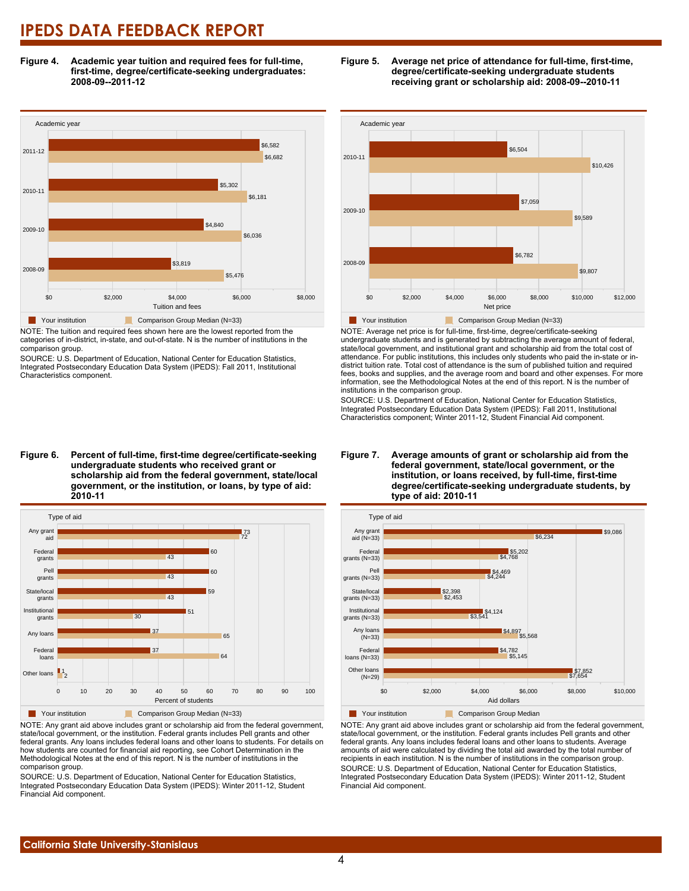**Figure 4. Academic year tuition and required fees for full-time, first-time, degree/certificate-seeking undergraduates: 2008-09--2011-12**



NOTE: The tuition and required fees shown here are the lowest reported from the categories of in-district, in-state, and out-of-state. N is the number of institutions in the comparison group.

SOURCE: U.S. Department of Education, National Center for Education Statistics, Integrated Postsecondary Education Data System (IPEDS): Fall 2011, Institutional Characteristics component.





NOTE: Average net price is for full-time, first-time, degree/certificate-seeking undergraduate students and is generated by subtracting the average amount of federal, state/local government, and institutional grant and scholarship aid from the total cost of attendance. For public institutions, this includes only students who paid the in-state or indistrict tuition rate. Total cost of attendance is the sum of published tuition and required fees, books and supplies, and the average room and board and other expenses. For more information, see the Methodological Notes at the end of this report. N is the number of institutions in the comparison group.

SOURCE: U.S. Department of Education, National Center for Education Statistics, Integrated Postsecondary Education Data System (IPEDS): Fall 2011, Institutional Characteristics component; Winter 2011-12, Student Financial Aid component.



NOTE: Any grant aid above includes grant or scholarship aid from the federal government, state/local government, or the institution. Federal grants includes Pell grants and other federal grants. Any loans includes federal loans and other loans to students. For details on how students are counted for financial aid reporting, see Cohort Determination in the Methodological Notes at the end of this report. N is the number of institutions in the comparison group.

SOURCE: U.S. Department of Education, National Center for Education Statistics, Integrated Postsecondary Education Data System (IPEDS): Winter 2011-12, Student Financial Aid component.

#### **Figure 7. Average amounts of grant or scholarship aid from the federal government, state/local government, or the institution, or loans received, by full-time, first-time degree/certificate-seeking undergraduate students, by type of aid: 2010-11**



NOTE: Any grant aid above includes grant or scholarship aid from the federal government, state/local government, or the institution. Federal grants includes Pell grants and other federal grants. Any loans includes federal loans and other loans to students. Average amounts of aid were calculated by dividing the total aid awarded by the total number of recipients in each institution. N is the number of institutions in the comparison group. SOURCE: U.S. Department of Education, National Center for Education Statistics, Integrated Postsecondary Education Data System (IPEDS): Winter 2011-12, Student Financial Aid component.

**Figure 6. Percent of full-time, first-time degree/certificate-seeking undergraduate students who received grant or scholarship aid from the federal government, state/local government, or the institution, or loans, by type of aid: 2010-11**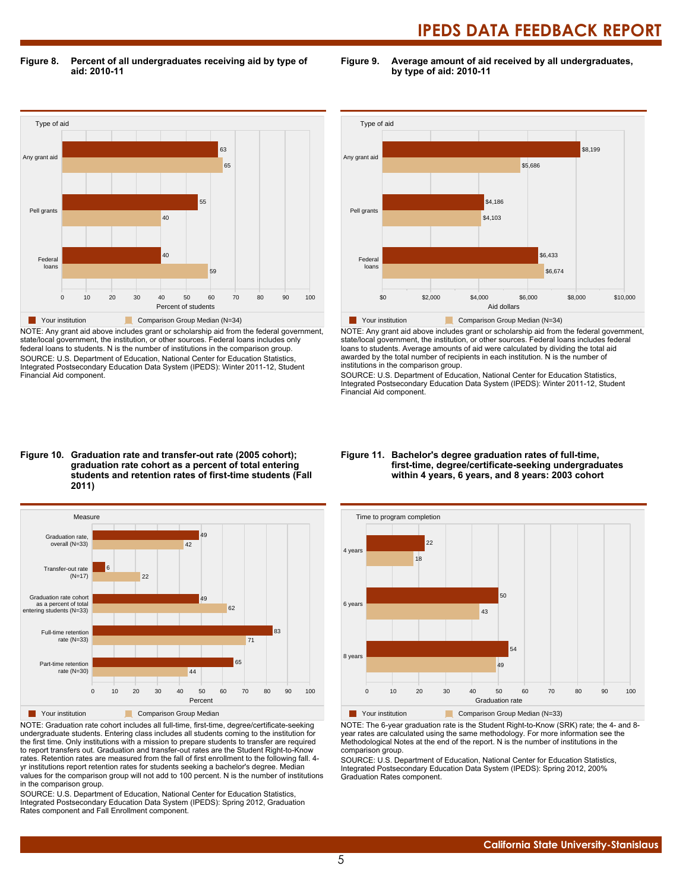**Figure 8. Percent of all undergraduates receiving aid by type of aid: 2010-11**

**Figure 9. Average amount of aid received by all undergraduates, by type of aid: 2010-11**



NOTE: Any grant aid above includes grant or scholarship aid from the federal government, state/local government, the institution, or other sources. Federal loans includes only federal loans to students. N is the number of institutions in the comparison group. SOURCE: U.S. Department of Education, National Center for Education Statistics, Integrated Postsecondary Education Data System (IPEDS): Winter 2011-12, Student Financial Aid component.



NOTE: Any grant aid above includes grant or scholarship aid from the federal government, state/local government, the institution, or other sources. Federal loans includes federal loans to students. Average amounts of aid were calculated by dividing the total aid awarded by the total number of recipients in each institution. N is the number of institutions in the comparison group.

SOURCE: U.S. Department of Education, National Center for Education Statistics, Integrated Postsecondary Education Data System (IPEDS): Winter 2011-12, Student Financial Aid component.

#### **Figure 10. Graduation rate and transfer-out rate (2005 cohort); graduation rate cohort as a percent of total entering students and retention rates of first-time students (Fall 2011)**



NOTE: Graduation rate cohort includes all full-time, first-time, degree/certificate-seeking undergraduate students. Entering class includes all students coming to the institution for the first time. Only institutions with a mission to prepare students to transfer are required to report transfers out. Graduation and transfer-out rates are the Student Right-to-Know rates. Retention rates are measured from the fall of first enrollment to the following fall. 4 yr institutions report retention rates for students seeking a bachelor's degree. Median values for the comparison group will not add to 100 percent. N is the number of institutions in the comparison group.

SOURCE: U.S. Department of Education, National Center for Education Statistics, Integrated Postsecondary Education Data System (IPEDS): Spring 2012, Graduation Rates component and Fall Enrollment component.

#### **Figure 11. Bachelor's degree graduation rates of full-time, first-time, degree/certificate-seeking undergraduates within 4 years, 6 years, and 8 years: 2003 cohort**



NOTE: The 6-year graduation rate is the Student Right-to-Know (SRK) rate; the 4- and 8 year rates are calculated using the same methodology. For more information see the Methodological Notes at the end of the report. N is the number of institutions in the comparison group.

SOURCE: U.S. Department of Education, National Center for Education Statistics, Integrated Postsecondary Education Data System (IPEDS): Spring 2012, 200% Graduation Rates component.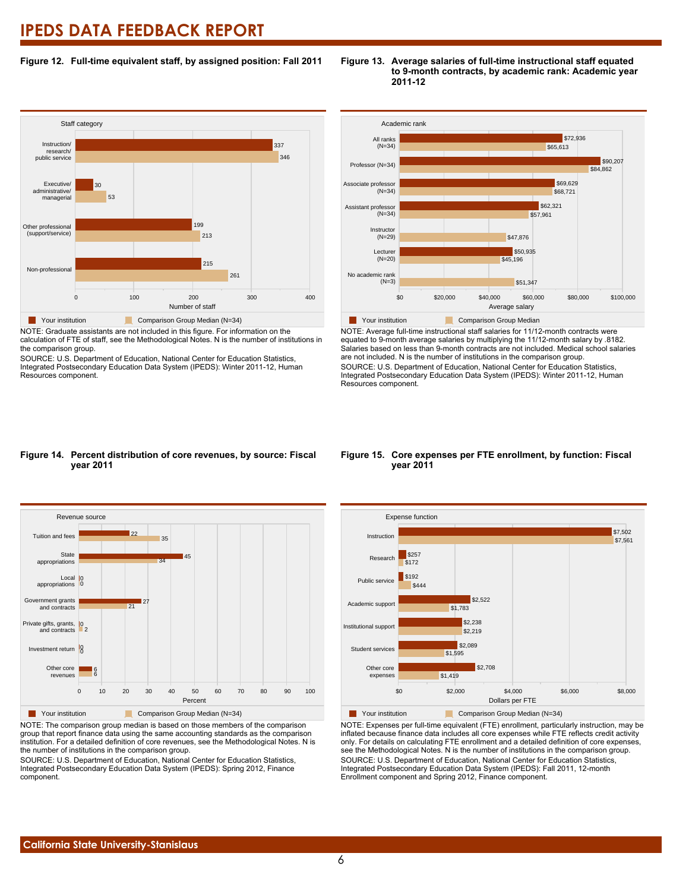#### **Figure 12. Full-time equivalent staff, by assigned position: Fall 2011**



NOTE: Graduate assistants are not included in this figure. For information on the calculation of FTE of staff, see the Methodological Notes. N is the number of institutions in the comparison group.

SOURCE: U.S. Department of Education, National Center for Education Statistics, Integrated Postsecondary Education Data System (IPEDS): Winter 2011-12, Human Resources component.





NOTE: Average full-time instructional staff salaries for 11/12-month contracts were equated to 9-month average salaries by multiplying the 11/12-month salary by .8182. Salaries based on less than 9-month contracts are not included. Medical school salaries are not included. N is the number of institutions in the comparison group. SOURCE: U.S. Department of Education, National Center for Education Statistics, Integrated Postsecondary Education Data System (IPEDS): Winter 2011-12, Human Resources component.

#### **Figure 14. Percent distribution of core revenues, by source: Fiscal year 2011**



NOTE: The comparison group median is based on those members of the comparison group that report finance data using the same accounting standards as the comparison institution. For a detailed definition of core revenues, see the Methodological Notes. N is the number of institutions in the comparison group.

SOURCE: U.S. Department of Education, National Center for Education Statistics, Integrated Postsecondary Education Data System (IPEDS): Spring 2012, Finance component.

#### **Figure 15. Core expenses per FTE enrollment, by function: Fiscal year 2011**



NOTE: Expenses per full-time equivalent (FTE) enrollment, particularly instruction, may be inflated because finance data includes all core expenses while FTE reflects credit activity only. For details on calculating FTE enrollment and a detailed definition of core expenses, see the Methodological Notes. N is the number of institutions in the comparison group. SOURCE: U.S. Department of Education, National Center for Education Statistics, Integrated Postsecondary Education Data System (IPEDS): Fall 2011, 12-month Enrollment component and Spring 2012, Finance component.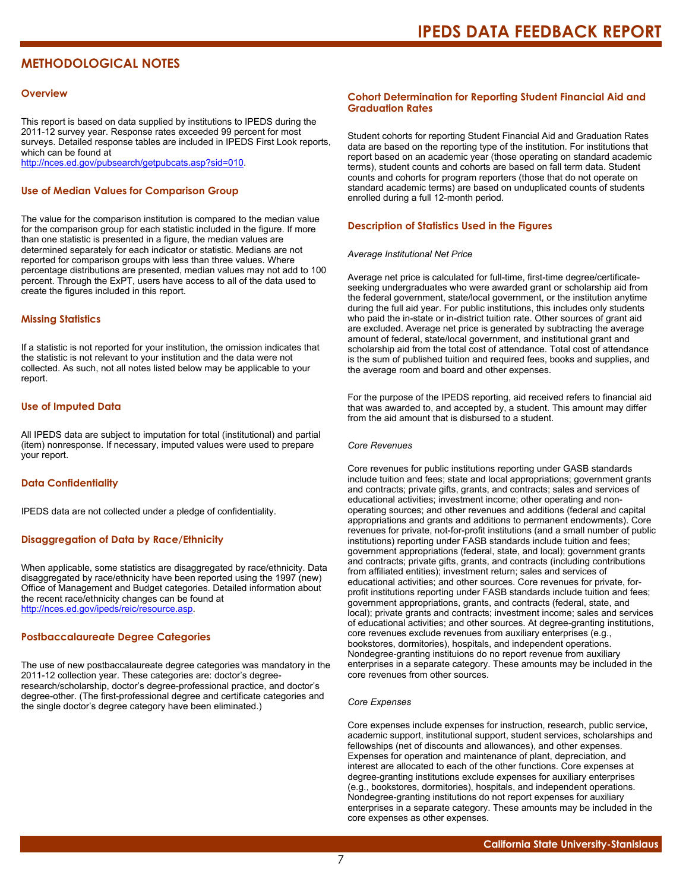### **METHODOLOGICAL NOTES**

#### **Overview**

This report is based on data supplied by institutions to IPEDS during the 2011-12 survey year. Response rates exceeded 99 percent for most surveys. Detailed response tables are included in IPEDS First Look reports, which can be found at [http://nces.ed.gov/pubsearch/getpubcats.asp?sid=010.](http://nces.ed.gov/pubsearch/getpubcats.asp?sid=010)

#### **Use of Median Values for Comparison Group**

The value for the comparison institution is compared to the median value for the comparison group for each statistic included in the figure. If more than one statistic is presented in a figure, the median values are determined separately for each indicator or statistic. Medians are not reported for comparison groups with less than three values. Where percentage distributions are presented, median values may not add to 100 percent. Through the ExPT, users have access to all of the data used to create the figures included in this report.

#### **Missing Statistics**

If a statistic is not reported for your institution, the omission indicates that the statistic is not relevant to your institution and the data were not collected. As such, not all notes listed below may be applicable to your report.

#### **Use of Imputed Data**

All IPEDS data are subject to imputation for total (institutional) and partial (item) nonresponse. If necessary, imputed values were used to prepare your report.

#### **Data Confidentiality**

IPEDS data are not collected under a pledge of confidentiality.

#### **Disaggregation of Data by Race/Ethnicity**

When applicable, some statistics are disaggregated by race/ethnicity. Data disaggregated by race/ethnicity have been reported using the 1997 (new) Office of Management and Budget categories. Detailed information about the recent race/ethnicity changes can be found at <http://nces.ed.gov/ipeds/reic/resource.asp>.

#### **Postbaccalaureate Degree Categories**

The use of new postbaccalaureate degree categories was mandatory in the 2011-12 collection year. These categories are: doctor's degreeresearch/scholarship, doctor's degree-professional practice, and doctor's degree-other. (The first-professional degree and certificate categories and the single doctor's degree category have been eliminated.)

#### **Cohort Determination for Reporting Student Financial Aid and Graduation Rates**

Student cohorts for reporting Student Financial Aid and Graduation Rates data are based on the reporting type of the institution. For institutions that report based on an academic year (those operating on standard academic terms), student counts and cohorts are based on fall term data. Student counts and cohorts for program reporters (those that do not operate on standard academic terms) are based on unduplicated counts of students enrolled during a full 12-month period.

#### **Description of Statistics Used in the Figures**

#### *Average Institutional Net Price*

Average net price is calculated for full-time, first-time degree/certificateseeking undergraduates who were awarded grant or scholarship aid from the federal government, state/local government, or the institution anytime during the full aid year. For public institutions, this includes only students who paid the in-state or in-district tuition rate. Other sources of grant aid are excluded. Average net price is generated by subtracting the average amount of federal, state/local government, and institutional grant and scholarship aid from the total cost of attendance. Total cost of attendance is the sum of published tuition and required fees, books and supplies, and the average room and board and other expenses.

For the purpose of the IPEDS reporting, aid received refers to financial aid that was awarded to, and accepted by, a student. This amount may differ from the aid amount that is disbursed to a student.

#### *Core Revenues*

Core revenues for public institutions reporting under GASB standards include tuition and fees; state and local appropriations; government grants and contracts; private gifts, grants, and contracts; sales and services of educational activities; investment income; other operating and nonoperating sources; and other revenues and additions (federal and capital appropriations and grants and additions to permanent endowments). Core revenues for private, not-for-profit institutions (and a small number of public institutions) reporting under FASB standards include tuition and fees; government appropriations (federal, state, and local); government grants and contracts; private gifts, grants, and contracts (including contributions from affiliated entities); investment return; sales and services of educational activities; and other sources. Core revenues for private, forprofit institutions reporting under FASB standards include tuition and fees; government appropriations, grants, and contracts (federal, state, and local); private grants and contracts; investment income; sales and services of educational activities; and other sources. At degree-granting institutions, core revenues exclude revenues from auxiliary enterprises (e.g., bookstores, dormitories), hospitals, and independent operations. Nondegree-granting instituions do no report revenue from auxiliary enterprises in a separate category. These amounts may be included in the core revenues from other sources.

#### *Core Expenses*

Core expenses include expenses for instruction, research, public service, academic support, institutional support, student services, scholarships and fellowships (net of discounts and allowances), and other expenses. Expenses for operation and maintenance of plant, depreciation, and interest are allocated to each of the other functions. Core expenses at degree-granting institutions exclude expenses for auxiliary enterprises (e.g., bookstores, dormitories), hospitals, and independent operations. Nondegree-granting institutions do not report expenses for auxiliary enterprises in a separate category. These amounts may be included in the core expenses as other expenses.